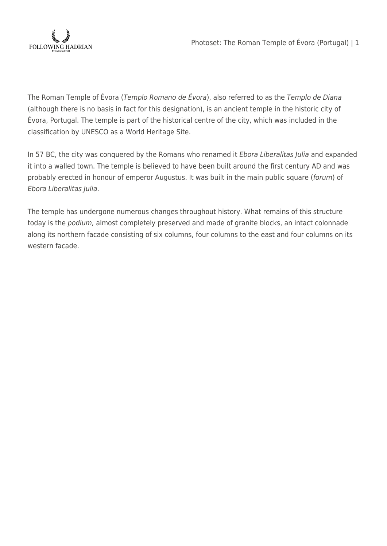

The Roman Temple of Évora (Templo Romano de Évora), also referred to as the Templo de Diana (although there is no basis in fact for this designation), is an ancient temple in the historic city of Évora, Portugal. The temple is part of the historical centre of the city, which was included in the classification by UNESCO as a World Heritage Site.

In 57 BC, the city was conquered by the Romans who renamed it Ebora Liberalitas Julia and expanded it into a walled town. The temple is believed to have been built around the first century AD and was probably erected in honour of emperor Augustus. It was built in the main public square (forum) of Ebora Liberalitas Julia.

The temple has undergone numerous changes throughout history. What remains of this structure today is the podium, almost completely preserved and made of granite blocks, an intact colonnade along its northern facade consisting of six columns, four columns to the east and four columns on its western facade.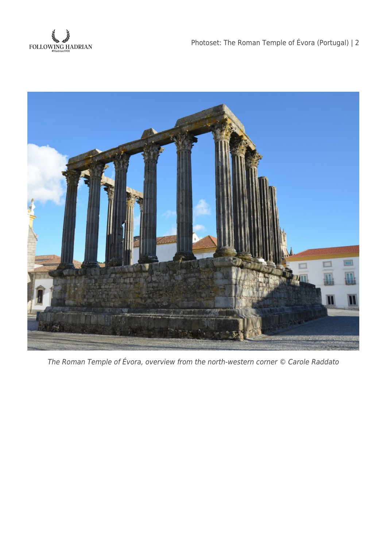



The Roman Temple of Évora, overview from the north-western corner © Carole Raddato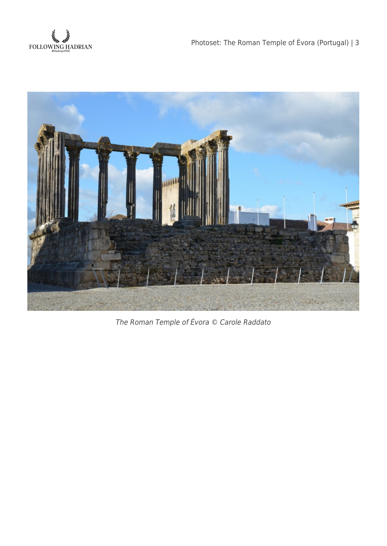



The Roman Temple of Évora © Carole Raddato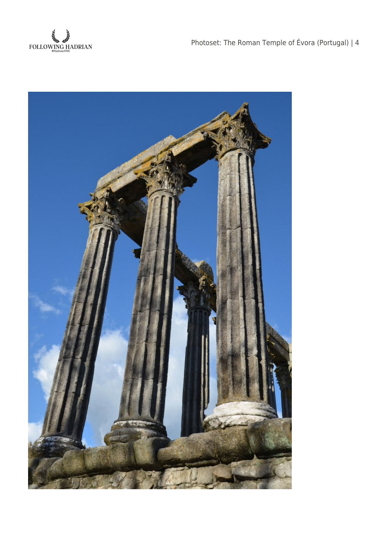

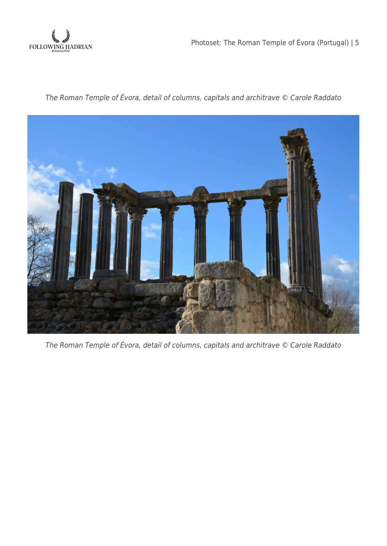

The Roman Temple of Évora, detail of columns, capitals and architrave © Carole Raddato



The Roman Temple of Évora, detail of columns, capitals and architrave © Carole Raddato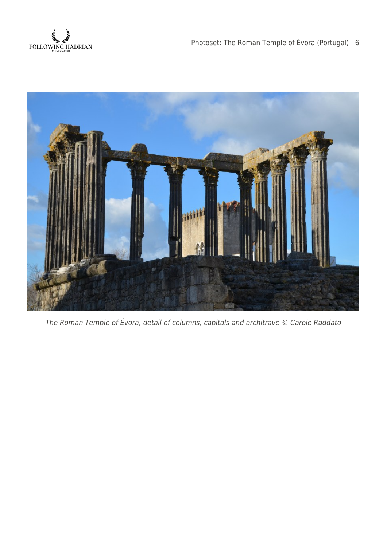



The Roman Temple of Évora, detail of columns, capitals and architrave © Carole Raddato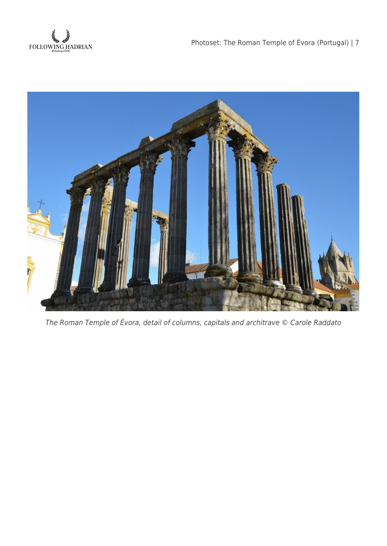



The Roman Temple of Évora, detail of columns, capitals and architrave © Carole Raddato